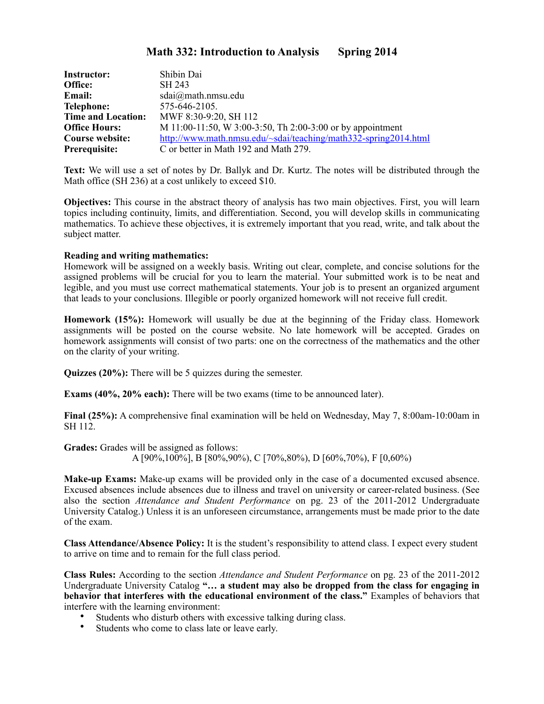# **Math 332: Introduction to Analysis Spring 2014**

| <b>Instructor:</b>        | Shibin Dai                                                      |
|---------------------------|-----------------------------------------------------------------|
| Office:                   | SH 243                                                          |
| Email:                    | sdai@math.math.nmsu.edu                                         |
| <b>Telephone:</b>         | 575-646-2105.                                                   |
| <b>Time and Location:</b> | MWF 8:30-9:20, SH 112                                           |
| <b>Office Hours:</b>      | M 11:00-11:50, W 3:00-3:50, Th 2:00-3:00 or by appointment      |
| Course website:           | http://www.math.nmsu.edu/~sdai/teaching/math332-spring2014.html |
| Prerequisite:             | C or better in Math 192 and Math 279.                           |

**Text:** We will use a set of notes by Dr. Ballyk and Dr. Kurtz. The notes will be distributed through the Math office (SH 236) at a cost unlikely to exceed \$10.

**Objectives:** This course in the abstract theory of analysis has two main objectives. First, you will learn topics including continuity, limits, and differentiation. Second, you will develop skills in communicating mathematics. To achieve these objectives, it is extremely important that you read, write, and talk about the subject matter.

#### **Reading and writing mathematics:**

Homework will be assigned on a weekly basis. Writing out clear, complete, and concise solutions for the assigned problems will be crucial for you to learn the material. Your submitted work is to be neat and legible, and you must use correct mathematical statements. Your job is to present an organized argument that leads to your conclusions. Illegible or poorly organized homework will not receive full credit.

**Homework (15%):** Homework will usually be due at the beginning of the Friday class. Homework assignments will be posted on the course website. No late homework will be accepted. Grades on homework assignments will consist of two parts: one on the correctness of the mathematics and the other on the clarity of your writing.

**Quizzes (20%):** There will be 5 quizzes during the semester.

**Exams (40%, 20% each):** There will be two exams (time to be announced later).

**Final (25%):** A comprehensive final examination will be held on Wednesday, May 7, 8:00am-10:00am in SH 112.

**Grades:** Grades will be assigned as follows: A [90%,100%], B [80%,90%), C [70%,80%), D [60%,70%), F [0,60%)

**Make-up Exams:** Make-up exams will be provided only in the case of a documented excused absence. Excused absences include absences due to illness and travel on university or career-related business. (See also the section *Attendance and Student Performance* on pg. 23 of the 2011-2012 Undergraduate University Catalog.) Unless it is an unforeseen circumstance, arrangements must be made prior to the date of the exam.

**Class Attendance/Absence Policy:** It is the student's responsibility to attend class. I expect every student to arrive on time and to remain for the full class period.

**Class Rules:** According to the section *Attendance and Student Performance* on pg. 23 of the 2011-2012 Undergraduate University Catalog **"… a student may also be dropped from the class for engaging in behavior that interferes with the educational environment of the class."** Examples of behaviors that interfere with the learning environment:

- Students who disturb others with excessive talking during class.
- Students who come to class late or leave early.